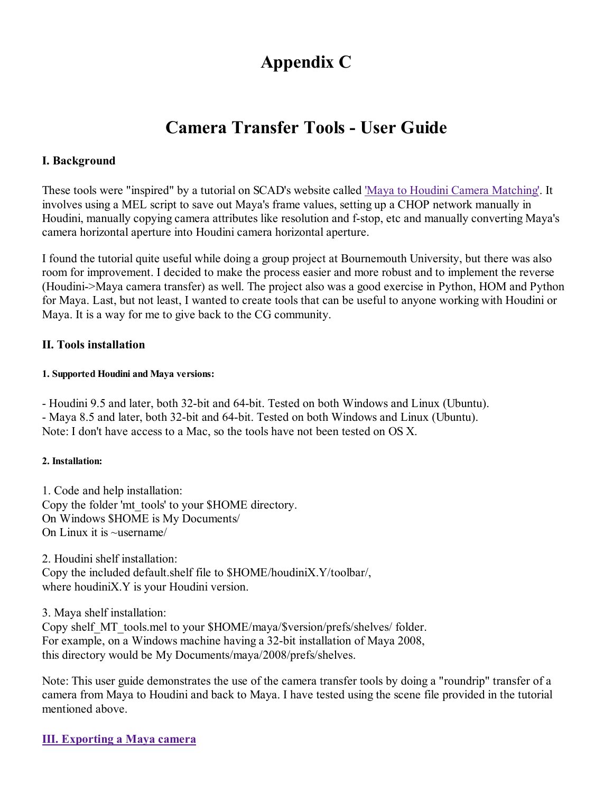# Appendix C

# Camera Transfer Tools - User Guide

## I. Background

These tools were "inspired" by a tutorial on SCAD's website called 'Maya to Houdini Camera Matching'. It involves using a MEL script to save out Maya's frame values, setting up a CHOP network manually in Houdini, manually copying camera attributes like resolution and f-stop, etc and manually converting Maya's camera horizontal aperture into Houdini camera horizontal aperture.

I found the tutorial quite useful while doing a group project at Bournemouth University, but there was also room for improvement. I decided to make the process easier and more robust and to implement the reverse (Houdini->Maya camera transfer) as well. The project also was a good exercise in Python, HOM and Python for Maya. Last, but not least, I wanted to create tools that can be useful to anyone working with Houdini or Maya. It is a way for me to give back to the CG community.

# II. Tools installation

#### 1. Supported Houdini and Maya versions:

- Houdini 9.5 and later, both 32-bit and 64-bit. Tested on both Windows and Linux (Ubuntu). - Maya 8.5 and later, both 32-bit and 64-bit. Tested on both Windows and Linux (Ubuntu). Note: I don't have access to a Mac, so the tools have not been tested on OS X.

## 2. Installation:

1. Code and help installation: Copy the folder 'mt\_tools' to your \$HOME directory. On Windows \$HOME is My Documents/ On Linux it is ~username/

2. Houdini shelf installation: Copy the included default.shelf file to \$HOME/houdiniX.Y/toolbar/, where houdiniX.Y is your Houdini version.

3. Maya shelf installation:

Copy shelf MT tools.mel to your \$HOME/maya/\$version/prefs/shelves/ folder. For example, on a Windows machine having a 32-bit installation of Maya 2008, this directory would be My Documents/maya/2008/prefs/shelves.

Note: This user guide demonstrates the use of the camera transfer tools by doing a "roundrip" transfer of a camera from Maya to Houdini and back to Maya. I have tested using the scene file provided in the tutorial mentioned above.

## III. Exporting a Maya camera